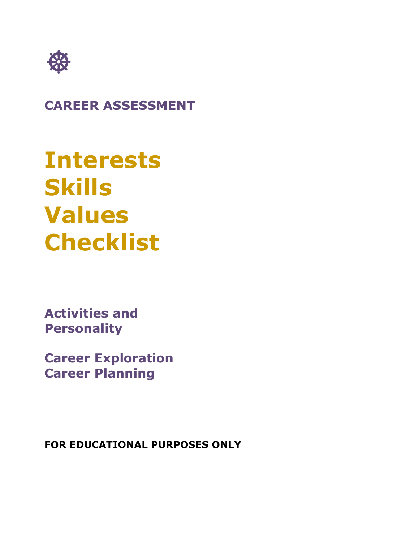

# **CAREER ASSESSMENT**

# **Interests Skills Values Checklist**

**Activities and Personality**

**Career Exploration Career Planning**

**FOR EDUCATIONAL PURPOSES ONLY**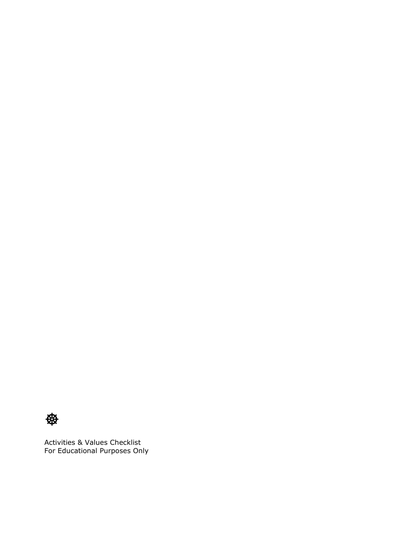

Activities & Values Checklist For Educational Purposes Only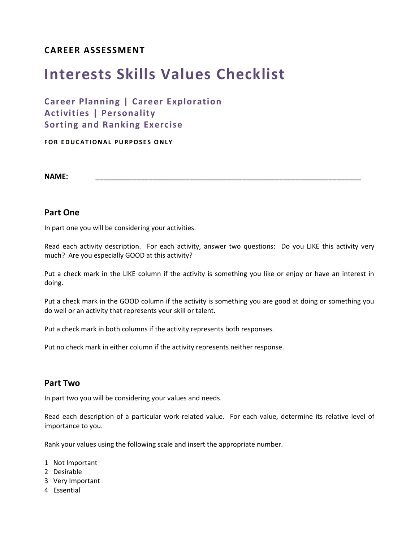#### **CAREER ASSESSMENT**

# **Interests Skills Values Checklist**

### **Career Planning | Career Exploration Activities | Personality Sorting and Ranking Exercise**

**FOR EDUCATIONAL PURPOSES ONLY** 

**NAME: \_\_\_\_\_\_\_\_\_\_\_\_\_\_\_\_\_\_\_\_\_\_\_\_\_\_\_\_\_\_\_\_\_\_\_\_\_\_\_\_\_\_\_\_\_\_\_\_\_\_\_\_\_\_\_\_\_\_\_\_\_\_\_\_\_**

#### **Part One**

In part one you will be considering your activities.

Read each activity description. For each activity, answer two questions: Do you LIKE this activity very much? Are you especially GOOD at this activity?

Put a check mark in the LIKE column if the activity is something you like or enjoy or have an interest in doing.

Put a check mark in the GOOD column if the activity is something you are good at doing or something you do well or an activity that represents your skill or talent.

Put a check mark in both columns if the activity represents both responses.

Put no check mark in either column if the activity represents neither response.

#### **Part Two**

In part two you will be considering your values and needs.

Read each description of a particular work-related value. For each value, determine its relative level of importance to you.

Rank your values using the following scale and insert the appropriate number.

- 1 Not Important
- 2 Desirable
- 3 Very Important
- 4 Essential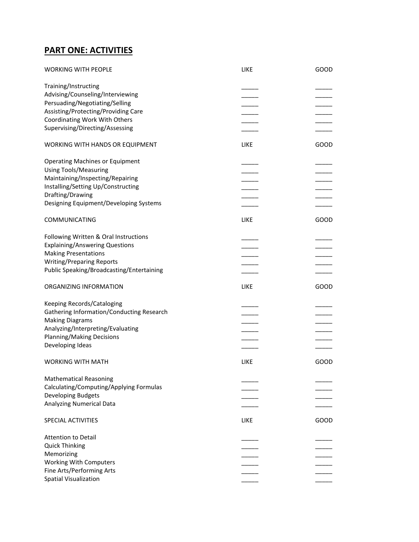## **PART ONE: ACTIVITIES**

| Training/Instructing<br>Advising/Counseling/Interviewing<br>Persuading/Negotiating/Selling<br>Assisting/Protecting/Providing Care<br>Coordinating Work With Others<br>Supervising/Directing/Assessing<br>LIKE<br>GOOD<br><b>Using Tools/Measuring</b><br>Maintaining/Inspecting/Repairing<br>LIKE<br>GOOD<br><b>Writing/Preparing Reports</b><br><b>LIKE</b><br>GOOD<br>Keeping Records/Cataloging<br>Gathering Information/Conducting Research<br><b>Making Diagrams</b><br>Analyzing/Interpreting/Evaluating<br>Planning/Making Decisions<br>Developing Ideas<br><b>LIKE</b><br>GOOD<br><b>Mathematical Reasoning</b><br>Calculating/Computing/Applying Formulas<br>Developing Budgets<br><b>Analyzing Numerical Data</b><br>LIKE<br>GOOD | <b>WORKING WITH PEOPLE</b>                | LIKE | GOOD |
|---------------------------------------------------------------------------------------------------------------------------------------------------------------------------------------------------------------------------------------------------------------------------------------------------------------------------------------------------------------------------------------------------------------------------------------------------------------------------------------------------------------------------------------------------------------------------------------------------------------------------------------------------------------------------------------------------------------------------------------------|-------------------------------------------|------|------|
|                                                                                                                                                                                                                                                                                                                                                                                                                                                                                                                                                                                                                                                                                                                                             |                                           |      |      |
|                                                                                                                                                                                                                                                                                                                                                                                                                                                                                                                                                                                                                                                                                                                                             |                                           |      |      |
|                                                                                                                                                                                                                                                                                                                                                                                                                                                                                                                                                                                                                                                                                                                                             |                                           |      |      |
|                                                                                                                                                                                                                                                                                                                                                                                                                                                                                                                                                                                                                                                                                                                                             |                                           |      |      |
|                                                                                                                                                                                                                                                                                                                                                                                                                                                                                                                                                                                                                                                                                                                                             |                                           |      |      |
|                                                                                                                                                                                                                                                                                                                                                                                                                                                                                                                                                                                                                                                                                                                                             |                                           |      |      |
|                                                                                                                                                                                                                                                                                                                                                                                                                                                                                                                                                                                                                                                                                                                                             |                                           |      |      |
|                                                                                                                                                                                                                                                                                                                                                                                                                                                                                                                                                                                                                                                                                                                                             | WORKING WITH HANDS OR EQUIPMENT           |      |      |
|                                                                                                                                                                                                                                                                                                                                                                                                                                                                                                                                                                                                                                                                                                                                             | <b>Operating Machines or Equipment</b>    |      |      |
|                                                                                                                                                                                                                                                                                                                                                                                                                                                                                                                                                                                                                                                                                                                                             |                                           |      |      |
|                                                                                                                                                                                                                                                                                                                                                                                                                                                                                                                                                                                                                                                                                                                                             |                                           |      |      |
|                                                                                                                                                                                                                                                                                                                                                                                                                                                                                                                                                                                                                                                                                                                                             | Installing/Setting Up/Constructing        |      |      |
|                                                                                                                                                                                                                                                                                                                                                                                                                                                                                                                                                                                                                                                                                                                                             | Drafting/Drawing                          |      |      |
|                                                                                                                                                                                                                                                                                                                                                                                                                                                                                                                                                                                                                                                                                                                                             | Designing Equipment/Developing Systems    |      |      |
|                                                                                                                                                                                                                                                                                                                                                                                                                                                                                                                                                                                                                                                                                                                                             | COMMUNICATING                             |      |      |
|                                                                                                                                                                                                                                                                                                                                                                                                                                                                                                                                                                                                                                                                                                                                             | Following Written & Oral Instructions     |      |      |
|                                                                                                                                                                                                                                                                                                                                                                                                                                                                                                                                                                                                                                                                                                                                             | <b>Explaining/Answering Questions</b>     |      |      |
|                                                                                                                                                                                                                                                                                                                                                                                                                                                                                                                                                                                                                                                                                                                                             | <b>Making Presentations</b>               |      |      |
|                                                                                                                                                                                                                                                                                                                                                                                                                                                                                                                                                                                                                                                                                                                                             |                                           |      |      |
|                                                                                                                                                                                                                                                                                                                                                                                                                                                                                                                                                                                                                                                                                                                                             | Public Speaking/Broadcasting/Entertaining |      |      |
|                                                                                                                                                                                                                                                                                                                                                                                                                                                                                                                                                                                                                                                                                                                                             | ORGANIZING INFORMATION                    |      |      |
|                                                                                                                                                                                                                                                                                                                                                                                                                                                                                                                                                                                                                                                                                                                                             |                                           |      |      |
|                                                                                                                                                                                                                                                                                                                                                                                                                                                                                                                                                                                                                                                                                                                                             |                                           |      |      |
|                                                                                                                                                                                                                                                                                                                                                                                                                                                                                                                                                                                                                                                                                                                                             |                                           |      |      |
|                                                                                                                                                                                                                                                                                                                                                                                                                                                                                                                                                                                                                                                                                                                                             |                                           |      |      |
|                                                                                                                                                                                                                                                                                                                                                                                                                                                                                                                                                                                                                                                                                                                                             |                                           |      |      |
|                                                                                                                                                                                                                                                                                                                                                                                                                                                                                                                                                                                                                                                                                                                                             |                                           |      |      |
|                                                                                                                                                                                                                                                                                                                                                                                                                                                                                                                                                                                                                                                                                                                                             |                                           |      |      |
|                                                                                                                                                                                                                                                                                                                                                                                                                                                                                                                                                                                                                                                                                                                                             | <b>WORKING WITH MATH</b>                  |      |      |
|                                                                                                                                                                                                                                                                                                                                                                                                                                                                                                                                                                                                                                                                                                                                             |                                           |      |      |
|                                                                                                                                                                                                                                                                                                                                                                                                                                                                                                                                                                                                                                                                                                                                             |                                           |      |      |
|                                                                                                                                                                                                                                                                                                                                                                                                                                                                                                                                                                                                                                                                                                                                             |                                           |      |      |
|                                                                                                                                                                                                                                                                                                                                                                                                                                                                                                                                                                                                                                                                                                                                             |                                           |      |      |
|                                                                                                                                                                                                                                                                                                                                                                                                                                                                                                                                                                                                                                                                                                                                             |                                           |      |      |
|                                                                                                                                                                                                                                                                                                                                                                                                                                                                                                                                                                                                                                                                                                                                             | SPECIAL ACTIVITIES                        |      |      |
|                                                                                                                                                                                                                                                                                                                                                                                                                                                                                                                                                                                                                                                                                                                                             | <b>Attention to Detail</b>                |      |      |
|                                                                                                                                                                                                                                                                                                                                                                                                                                                                                                                                                                                                                                                                                                                                             | <b>Quick Thinking</b>                     |      |      |
|                                                                                                                                                                                                                                                                                                                                                                                                                                                                                                                                                                                                                                                                                                                                             | Memorizing                                |      |      |
|                                                                                                                                                                                                                                                                                                                                                                                                                                                                                                                                                                                                                                                                                                                                             | <b>Working With Computers</b>             |      |      |
|                                                                                                                                                                                                                                                                                                                                                                                                                                                                                                                                                                                                                                                                                                                                             | Fine Arts/Performing Arts                 |      |      |
|                                                                                                                                                                                                                                                                                                                                                                                                                                                                                                                                                                                                                                                                                                                                             | Spatial Visualization                     |      |      |